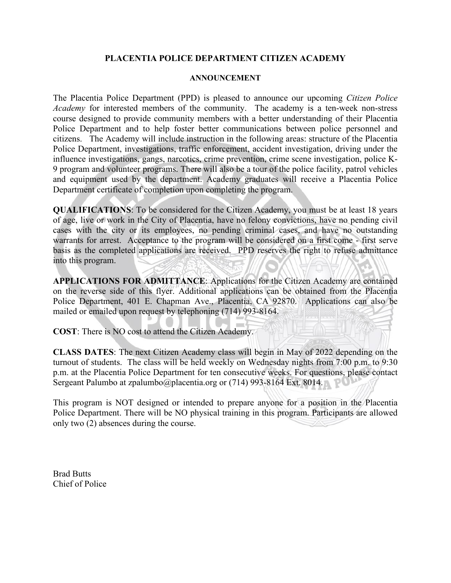## **PLACENTIA POLICE DEPARTMENT CITIZEN ACADEMY**

## **ANNOUNCEMENT**

The Placentia Police Department (PPD) is pleased to announce our upcoming *Citizen Police Academy* for interested members of the community. The academy is a ten-week non-stress course designed to provide community members with a better understanding of their Placentia Police Department and to help foster better communications between police personnel and citizens. The Academy will include instruction in the following areas: structure of the Placentia Police Department, investigations, traffic enforcement, accident investigation, driving under the influence investigations, gangs, narcotics, crime prevention, crime scene investigation, police K-9 program and volunteer programs. There will also be a tour of the police facility, patrol vehicles and equipment used by the department. Academy graduates will receive a Placentia Police Department certificate of completion upon completing the program.

**QUALIFICATIONS**: To be considered for the Citizen Academy, you must be at least 18 years of age, live or work in the City of Placentia, have no felony convictions, have no pending civil cases with the city or its employees, no pending criminal cases, and have no outstanding warrants for arrest. Acceptance to the program will be considered on a first come - first serve basis as the completed applications are received. PPD reserves the right to refuse admittance into this program.

**APPLICATIONS FOR ADMITTANCE**: Applications for the Citizen Academy are contained on the reverse side of this flyer. Additional applications can be obtained from the Placentia Police Department, 401 E. Chapman Ave., Placentia, CA 92870. Applications can also be mailed or emailed upon request by telephoning (714) 993-8164.

**COST**: There is NO cost to attend the Citizen Academy.

**CLASS DATES**: The next Citizen Academy class will begin in May of 2022 depending on the turnout of students. The class will be held weekly on Wednesday nights from 7:00 p.m. to 9:30 p.m. at the Placentia Police Department for ten consecutive weeks. For questions, please contact Sergeant Palumbo at zpalumbo@placentia.org or (714) 993-8164 Ext. 8014.

This program is NOT designed or intended to prepare anyone for a position in the Placentia Police Department. There will be NO physical training in this program. Participants are allowed only two (2) absences during the course.

Brad Butts Chief of Police